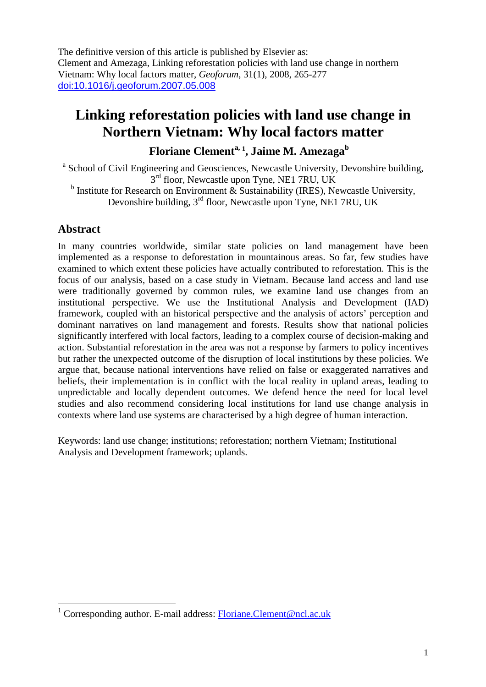The definitive version of this article is published by Elsevier as: Clement and Amezaga, Linking reforestation policies with land use change in northern Vietnam: Why local factors matter, *Geoforum*, 31(1), 2008, 265-277 doi:10.1016/j.geoforum.2007.05.008

# **Linking reforestation policies with land use change in Northern Vietnam: Why local factors matter**

# **Floriane Clementa, <sup>1</sup> , Jaime M. Amezaga<sup>b</sup>**

<sup>a</sup> School of Civil Engineering and Geosciences, Newcastle University, Devonshire building,  $3<sup>rd</sup>$  floor, Newcastle upon Tyne, NE1 7RU, UK

<sup>b</sup> Institute for Research on Environment  $\&$  Sustainability (IRES), Newcastle University, Devonshire building, 3<sup>rd</sup> floor, Newcastle upon Tyne, NE1 7RU, UK

# **Abstract**

In many countries worldwide, similar state policies on land management have been implemented as a response to deforestation in mountainous areas. So far, few studies have examined to which extent these policies have actually contributed to reforestation. This is the focus of our analysis, based on a case study in Vietnam. Because land access and land use were traditionally governed by common rules, we examine land use changes from an institutional perspective. We use the Institutional Analysis and Development (IAD) framework, coupled with an historical perspective and the analysis of actors' perception and dominant narratives on land management and forests. Results show that national policies significantly interfered with local factors, leading to a complex course of decision-making and action. Substantial reforestation in the area was not a response by farmers to policy incentives but rather the unexpected outcome of the disruption of local institutions by these policies. We argue that, because national interventions have relied on false or exaggerated narratives and beliefs, their implementation is in conflict with the local reality in upland areas, leading to unpredictable and locally dependent outcomes. We defend hence the need for local level studies and also recommend considering local institutions for land use change analysis in contexts where land use systems are characterised by a high degree of human interaction.

Keywords: land use change; institutions; reforestation; northern Vietnam; Institutional Analysis and Development framework; uplands.

 $\overline{a}$ <sup>1</sup> Corresponding author. E-mail address: Floriane.Clement@ncl.ac.uk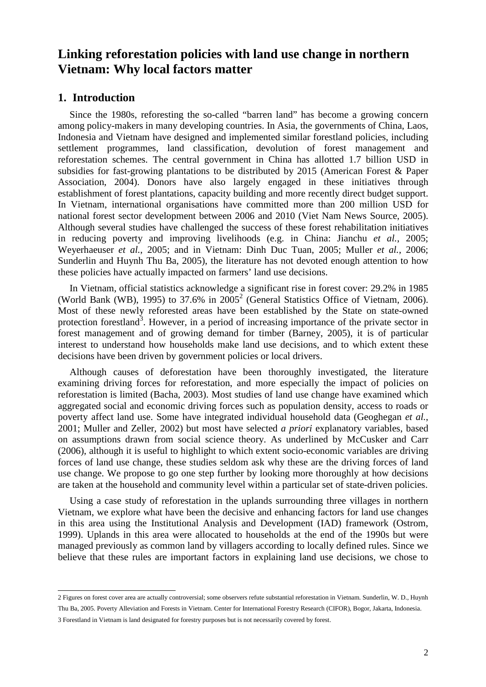# **Linking reforestation policies with land use change in northern Vietnam: Why local factors matter**

### **1. Introduction**

Since the 1980s, reforesting the so-called "barren land" has become a growing concern among policy-makers in many developing countries. In Asia, the governments of China, Laos, Indonesia and Vietnam have designed and implemented similar forestland policies, including settlement programmes, land classification, devolution of forest management and reforestation schemes. The central government in China has allotted 1.7 billion USD in subsidies for fast-growing plantations to be distributed by 2015 (American Forest & Paper Association, 2004). Donors have also largely engaged in these initiatives through establishment of forest plantations, capacity building and more recently direct budget support. In Vietnam, international organisations have committed more than 200 million USD for national forest sector development between 2006 and 2010 (Viet Nam News Source, 2005). Although several studies have challenged the success of these forest rehabilitation initiatives in reducing poverty and improving livelihoods (e.g. in China: Jianchu *et al.*, 2005; Weyerhaeuser *et al.*, 2005; and in Vietnam: Dinh Duc Tuan, 2005; Muller *et al.*, 2006; Sunderlin and Huynh Thu Ba, 2005), the literature has not devoted enough attention to how these policies have actually impacted on farmers' land use decisions.

In Vietnam, official statistics acknowledge a significant rise in forest cover: 29.2% in 1985 (World Bank (WB), 1995) to 37.6% in  $2005^2$  (General Statistics Office of Vietnam, 2006). Most of these newly reforested areas have been established by the State on state-owned protection forestland<sup>3</sup>. However, in a period of increasing importance of the private sector in forest management and of growing demand for timber (Barney, 2005), it is of particular interest to understand how households make land use decisions, and to which extent these decisions have been driven by government policies or local drivers.

Although causes of deforestation have been thoroughly investigated, the literature examining driving forces for reforestation, and more especially the impact of policies on reforestation is limited (Bacha, 2003). Most studies of land use change have examined which aggregated social and economic driving forces such as population density, access to roads or poverty affect land use. Some have integrated individual household data (Geoghegan *et al.*, 2001; Muller and Zeller, 2002) but most have selected *a priori* explanatory variables, based on assumptions drawn from social science theory. As underlined by McCusker and Carr (2006), although it is useful to highlight to which extent socio-economic variables are driving forces of land use change, these studies seldom ask why these are the driving forces of land use change. We propose to go one step further by looking more thoroughly at how decisions are taken at the household and community level within a particular set of state-driven policies.

Using a case study of reforestation in the uplands surrounding three villages in northern Vietnam, we explore what have been the decisive and enhancing factors for land use changes in this area using the Institutional Analysis and Development (IAD) framework (Ostrom, 1999). Uplands in this area were allocated to households at the end of the 1990s but were managed previously as common land by villagers according to locally defined rules. Since we believe that these rules are important factors in explaining land use decisions, we chose to

 2 Figures on forest cover area are actually controversial; some observers refute substantial reforestation in Vietnam. Sunderlin, W. D., Huynh Thu Ba, 2005. Poverty Alleviation and Forests in Vietnam. Center for International Forestry Research (CIFOR), Bogor, Jakarta, Indonesia.

<sup>3</sup> Forestland in Vietnam is land designated for forestry purposes but is not necessarily covered by forest.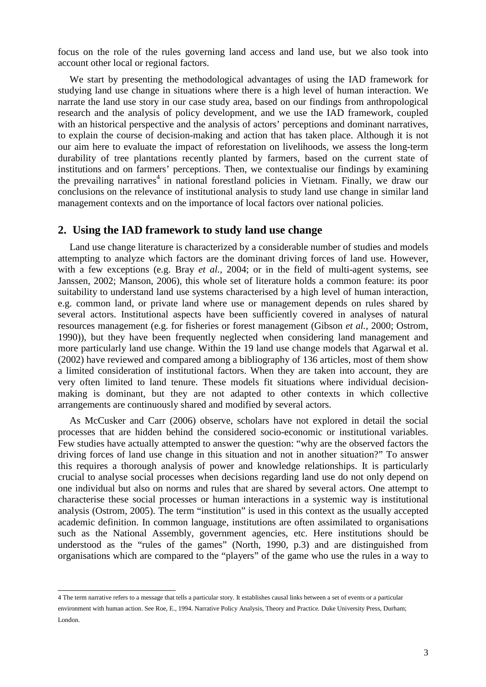focus on the role of the rules governing land access and land use, but we also took into account other local or regional factors.

We start by presenting the methodological advantages of using the IAD framework for studying land use change in situations where there is a high level of human interaction. We narrate the land use story in our case study area, based on our findings from anthropological research and the analysis of policy development, and we use the IAD framework, coupled with an historical perspective and the analysis of actors' perceptions and dominant narratives, to explain the course of decision-making and action that has taken place. Although it is not our aim here to evaluate the impact of reforestation on livelihoods, we assess the long-term durability of tree plantations recently planted by farmers, based on the current state of institutions and on farmers' perceptions. Then, we contextualise our findings by examining the prevailing narratives<sup>4</sup> in national forestland policies in Vietnam. Finally, we draw our conclusions on the relevance of institutional analysis to study land use change in similar land management contexts and on the importance of local factors over national policies.

#### **2. Using the IAD framework to study land use change**

Land use change literature is characterized by a considerable number of studies and models attempting to analyze which factors are the dominant driving forces of land use. However, with a few exceptions (e.g. Bray *et al.*, 2004; or in the field of multi-agent systems, see Janssen, 2002; Manson, 2006), this whole set of literature holds a common feature: its poor suitability to understand land use systems characterised by a high level of human interaction, e.g. common land, or private land where use or management depends on rules shared by several actors. Institutional aspects have been sufficiently covered in analyses of natural resources management (e.g. for fisheries or forest management (Gibson *et al.*, 2000; Ostrom, 1990)), but they have been frequently neglected when considering land management and more particularly land use change. Within the 19 land use change models that Agarwal et al. (2002) have reviewed and compared among a bibliography of 136 articles, most of them show a limited consideration of institutional factors. When they are taken into account, they are very often limited to land tenure. These models fit situations where individual decisionmaking is dominant, but they are not adapted to other contexts in which collective arrangements are continuously shared and modified by several actors.

As McCusker and Carr (2006) observe, scholars have not explored in detail the social processes that are hidden behind the considered socio-economic or institutional variables. Few studies have actually attempted to answer the question: "why are the observed factors the driving forces of land use change in this situation and not in another situation?" To answer this requires a thorough analysis of power and knowledge relationships. It is particularly crucial to analyse social processes when decisions regarding land use do not only depend on one individual but also on norms and rules that are shared by several actors. One attempt to characterise these social processes or human interactions in a systemic way is institutional analysis (Ostrom, 2005). The term "institution" is used in this context as the usually accepted academic definition. In common language, institutions are often assimilated to organisations such as the National Assembly, government agencies, etc. Here institutions should be understood as the "rules of the games" (North, 1990, p.3) and are distinguished from organisations which are compared to the "players" of the game who use the rules in a way to

 4 The term narrative refers to a message that tells a particular story. It establishes causal links between a set of events or a particular environment with human action. See Roe, E., 1994. Narrative Policy Analysis, Theory and Practice. Duke University Press, Durham; London.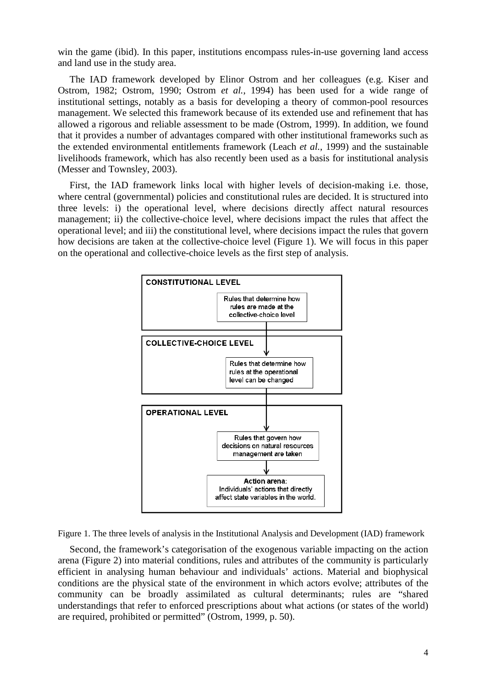win the game (ibid). In this paper, institutions encompass rules-in-use governing land access and land use in the study area.

The IAD framework developed by Elinor Ostrom and her colleagues (e.g. Kiser and Ostrom, 1982; Ostrom, 1990; Ostrom *et al.*, 1994) has been used for a wide range of institutional settings, notably as a basis for developing a theory of common-pool resources management. We selected this framework because of its extended use and refinement that has allowed a rigorous and reliable assessment to be made (Ostrom, 1999). In addition, we found that it provides a number of advantages compared with other institutional frameworks such as the extended environmental entitlements framework (Leach *et al.*, 1999) and the sustainable livelihoods framework, which has also recently been used as a basis for institutional analysis (Messer and Townsley, 2003).

First, the IAD framework links local with higher levels of decision-making i.e. those, where central (governmental) policies and constitutional rules are decided. It is structured into three levels: i) the operational level, where decisions directly affect natural resources management; ii) the collective-choice level, where decisions impact the rules that affect the operational level; and iii) the constitutional level, where decisions impact the rules that govern how decisions are taken at the collective-choice level (Figure 1). We will focus in this paper on the operational and collective-choice levels as the first step of analysis.



Figure 1. The three levels of analysis in the Institutional Analysis and Development (IAD) framework

Second, the framework's categorisation of the exogenous variable impacting on the action arena (Figure 2) into material conditions, rules and attributes of the community is particularly efficient in analysing human behaviour and individuals' actions. Material and biophysical conditions are the physical state of the environment in which actors evolve; attributes of the community can be broadly assimilated as cultural determinants; rules are "shared understandings that refer to enforced prescriptions about what actions (or states of the world) are required, prohibited or permitted" (Ostrom, 1999, p. 50).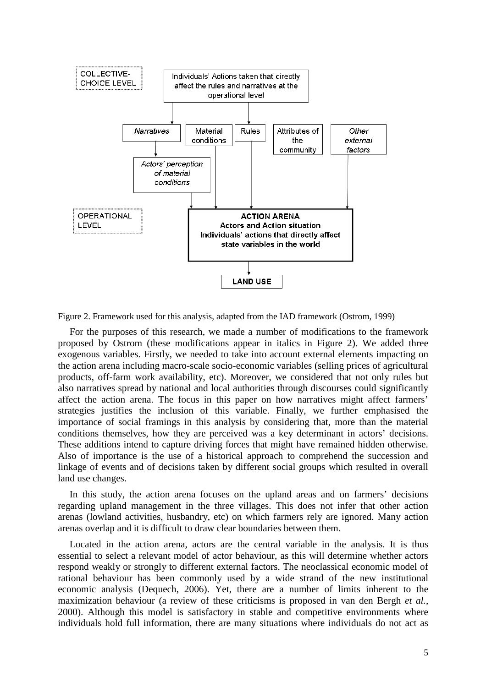

Figure 2. Framework used for this analysis, adapted from the IAD framework (Ostrom, 1999)

For the purposes of this research, we made a number of modifications to the framework proposed by Ostrom (these modifications appear in italics in Figure 2). We added three exogenous variables. Firstly, we needed to take into account external elements impacting on the action arena including macro-scale socio-economic variables (selling prices of agricultural products, off-farm work availability, etc). Moreover, we considered that not only rules but also narratives spread by national and local authorities through discourses could significantly affect the action arena. The focus in this paper on how narratives might affect farmers' strategies justifies the inclusion of this variable. Finally, we further emphasised the importance of social framings in this analysis by considering that, more than the material conditions themselves, how they are perceived was a key determinant in actors' decisions. These additions intend to capture driving forces that might have remained hidden otherwise. Also of importance is the use of a historical approach to comprehend the succession and linkage of events and of decisions taken by different social groups which resulted in overall land use changes.

In this study, the action arena focuses on the upland areas and on farmers' decisions regarding upland management in the three villages. This does not infer that other action arenas (lowland activities, husbandry, etc) on which farmers rely are ignored. Many action arenas overlap and it is difficult to draw clear boundaries between them.

Located in the action arena, actors are the central variable in the analysis. It is thus essential to select a relevant model of actor behaviour, as this will determine whether actors respond weakly or strongly to different external factors. The neoclassical economic model of rational behaviour has been commonly used by a wide strand of the new institutional economic analysis (Dequech, 2006). Yet, there are a number of limits inherent to the maximization behaviour (a review of these criticisms is proposed in van den Bergh *et al.*, 2000). Although this model is satisfactory in stable and competitive environments where individuals hold full information, there are many situations where individuals do not act as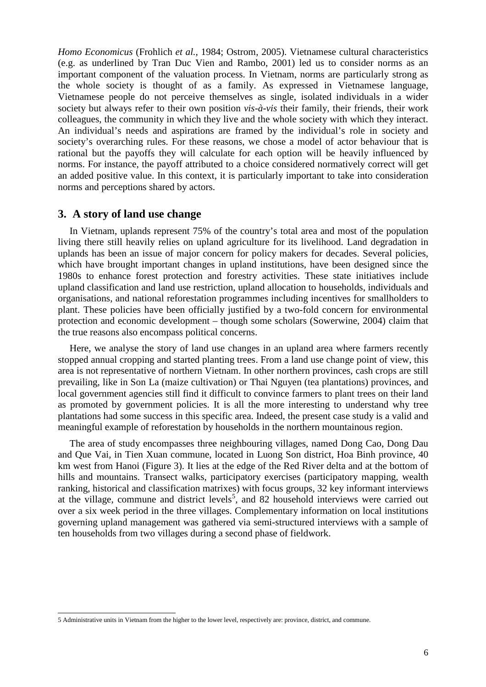*Homo Economicus* (Frohlich *et al.*, 1984; Ostrom, 2005). Vietnamese cultural characteristics (e.g. as underlined by Tran Duc Vien and Rambo, 2001) led us to consider norms as an important component of the valuation process. In Vietnam, norms are particularly strong as the whole society is thought of as a family. As expressed in Vietnamese language, Vietnamese people do not perceive themselves as single, isolated individuals in a wider society but always refer to their own position *vis-à-vis* their family, their friends, their work colleagues, the community in which they live and the whole society with which they interact. An individual's needs and aspirations are framed by the individual's role in society and society's overarching rules. For these reasons, we chose a model of actor behaviour that is rational but the payoffs they will calculate for each option will be heavily influenced by norms. For instance, the payoff attributed to a choice considered normatively correct will get an added positive value. In this context, it is particularly important to take into consideration norms and perceptions shared by actors.

#### **3. A story of land use change**

In Vietnam, uplands represent 75% of the country's total area and most of the population living there still heavily relies on upland agriculture for its livelihood. Land degradation in uplands has been an issue of major concern for policy makers for decades. Several policies, which have brought important changes in upland institutions, have been designed since the 1980s to enhance forest protection and forestry activities. These state initiatives include upland classification and land use restriction, upland allocation to households, individuals and organisations, and national reforestation programmes including incentives for smallholders to plant. These policies have been officially justified by a two-fold concern for environmental protection and economic development – though some scholars (Sowerwine, 2004) claim that the true reasons also encompass political concerns.

Here, we analyse the story of land use changes in an upland area where farmers recently stopped annual cropping and started planting trees. From a land use change point of view, this area is not representative of northern Vietnam. In other northern provinces, cash crops are still prevailing, like in Son La (maize cultivation) or Thai Nguyen (tea plantations) provinces, and local government agencies still find it difficult to convince farmers to plant trees on their land as promoted by government policies. It is all the more interesting to understand why tree plantations had some success in this specific area. Indeed, the present case study is a valid and meaningful example of reforestation by households in the northern mountainous region.

The area of study encompasses three neighbouring villages, named Dong Cao, Dong Dau and Que Vai, in Tien Xuan commune, located in Luong Son district, Hoa Binh province, 40 km west from Hanoi (Figure 3). It lies at the edge of the Red River delta and at the bottom of hills and mountains. Transect walks, participatory exercises (participatory mapping, wealth ranking, historical and classification matrixes) with focus groups, 32 key informant interviews at the village, commune and district levels<sup>5</sup>, and 82 household interviews were carried out over a six week period in the three villages. Complementary information on local institutions governing upland management was gathered via semi-structured interviews with a sample of ten households from two villages during a second phase of fieldwork.

 5 Administrative units in Vietnam from the higher to the lower level, respectively are: province, district, and commune.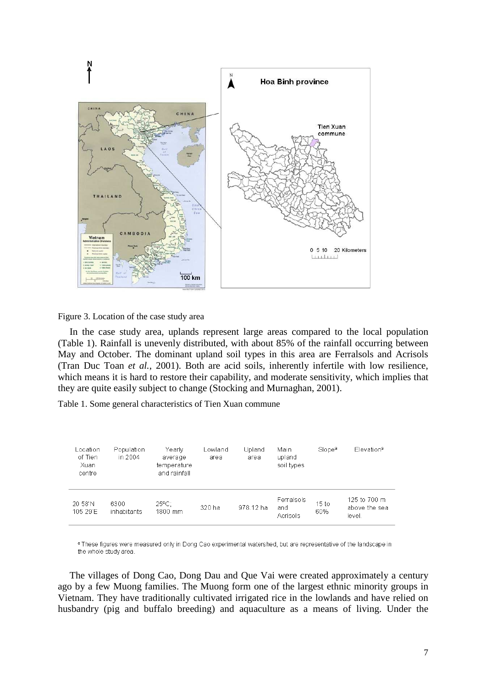

Figure 3. Location of the case study area

In the case study area, uplands represent large areas compared to the local population (Table 1). Rainfall is unevenly distributed, with about 85% of the rainfall occurring between May and October. The dominant upland soil types in this area are Ferralsols and Acrisols (Tran Duc Toan *et al.*, 2001). Both are acid soils, inherently infertile with low resilience, which means it is hard to restore their capability, and moderate sensitivity, which implies that they are quite easily subject to change (Stocking and Murnaghan, 2001).

Table 1. Some general characteristics of Tien Xuan commune

| Location<br>of Tien<br>Xuan<br>centre | Population<br>in 2004 | Yearlv<br>average<br>temperature<br>and rainfall | Lowland<br>area | Upland<br>area | Main<br>upland<br>soil types  | Slope <sup>a</sup> | Elevation <sup>a</sup>                  |
|---------------------------------------|-----------------------|--------------------------------------------------|-----------------|----------------|-------------------------------|--------------------|-----------------------------------------|
| 20 58'N<br>105.29'E                   | 6300<br>inhabitants   | $25^{\circ}$ C:<br>1800 mm                       | 320 ha          | 978.12 ha      | Ferralsols<br>and<br>Acrisols | 15 to<br>60%       | 125 to 700 m<br>above the sea<br>level. |

a These figures were measured only in Dong Cao experimental watershed, but are representative of the landscape in the whole study area.

The villages of Dong Cao, Dong Dau and Que Vai were created approximately a century ago by a few Muong families. The Muong form one of the largest ethnic minority groups in Vietnam. They have traditionally cultivated irrigated rice in the lowlands and have relied on husbandry (pig and buffalo breeding) and aquaculture as a means of living. Under the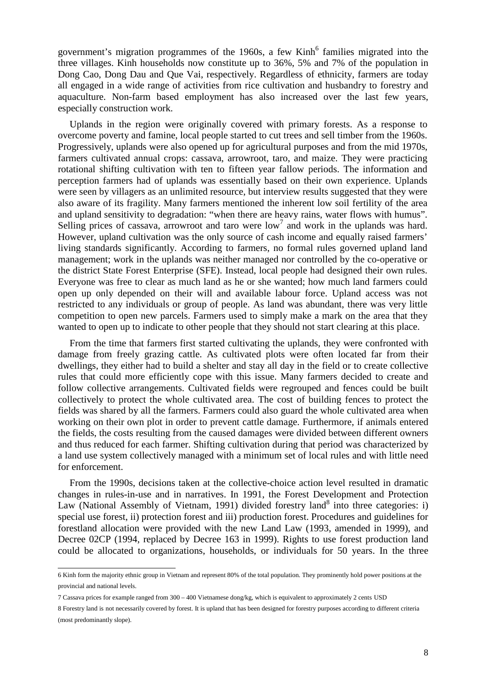government's migration programmes of the 1960s, a few Kinh<sup>6</sup> families migrated into the three villages. Kinh households now constitute up to 36%, 5% and 7% of the population in Dong Cao, Dong Dau and Que Vai, respectively. Regardless of ethnicity, farmers are today all engaged in a wide range of activities from rice cultivation and husbandry to forestry and aquaculture. Non-farm based employment has also increased over the last few years, especially construction work.

Uplands in the region were originally covered with primary forests. As a response to overcome poverty and famine, local people started to cut trees and sell timber from the 1960s. Progressively, uplands were also opened up for agricultural purposes and from the mid 1970s, farmers cultivated annual crops: cassava, arrowroot, taro, and maize. They were practicing rotational shifting cultivation with ten to fifteen year fallow periods. The information and perception farmers had of uplands was essentially based on their own experience. Uplands were seen by villagers as an unlimited resource, but interview results suggested that they were also aware of its fragility. Many farmers mentioned the inherent low soil fertility of the area and upland sensitivity to degradation: "when there are heavy rains, water flows with humus". Selling prices of cassava, arrowroot and taro were  $low<sup>7</sup>$  and work in the uplands was hard. However, upland cultivation was the only source of cash income and equally raised farmers' living standards significantly. According to farmers, no formal rules governed upland land management; work in the uplands was neither managed nor controlled by the co-operative or the district State Forest Enterprise (SFE). Instead, local people had designed their own rules. Everyone was free to clear as much land as he or she wanted; how much land farmers could open up only depended on their will and available labour force. Upland access was not restricted to any individuals or group of people. As land was abundant, there was very little competition to open new parcels. Farmers used to simply make a mark on the area that they wanted to open up to indicate to other people that they should not start clearing at this place.

From the time that farmers first started cultivating the uplands, they were confronted with damage from freely grazing cattle. As cultivated plots were often located far from their dwellings, they either had to build a shelter and stay all day in the field or to create collective rules that could more efficiently cope with this issue. Many farmers decided to create and follow collective arrangements. Cultivated fields were regrouped and fences could be built collectively to protect the whole cultivated area. The cost of building fences to protect the fields was shared by all the farmers. Farmers could also guard the whole cultivated area when working on their own plot in order to prevent cattle damage. Furthermore, if animals entered the fields, the costs resulting from the caused damages were divided between different owners and thus reduced for each farmer. Shifting cultivation during that period was characterized by a land use system collectively managed with a minimum set of local rules and with little need for enforcement.

From the 1990s, decisions taken at the collective-choice action level resulted in dramatic changes in rules-in-use and in narratives. In 1991, the Forest Development and Protection Law (National Assembly of Vietnam, 1991) divided forestry land<sup>8</sup> into three categories: i) special use forest, ii) protection forest and iii) production forest. Procedures and guidelines for forestland allocation were provided with the new Land Law (1993, amended in 1999), and Decree 02CP (1994, replaced by Decree 163 in 1999). Rights to use forest production land could be allocated to organizations, households, or individuals for 50 years. In the three

 6 Kinh form the majority ethnic group in Vietnam and represent 80% of the total population. They prominently hold power positions at the provincial and national levels.

<sup>7</sup> Cassava prices for example ranged from 300 – 400 Vietnamese dong/kg, which is equivalent to approximately 2 cents USD

<sup>8</sup> Forestry land is not necessarily covered by forest. It is upland that has been designed for forestry purposes according to different criteria (most predominantly slope).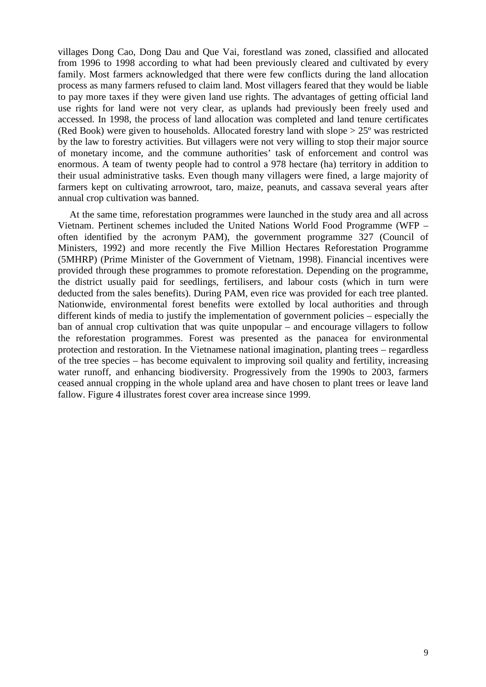villages Dong Cao, Dong Dau and Que Vai, forestland was zoned, classified and allocated from 1996 to 1998 according to what had been previously cleared and cultivated by every family. Most farmers acknowledged that there were few conflicts during the land allocation process as many farmers refused to claim land. Most villagers feared that they would be liable to pay more taxes if they were given land use rights. The advantages of getting official land use rights for land were not very clear, as uplands had previously been freely used and accessed. In 1998, the process of land allocation was completed and land tenure certificates (Red Book) were given to households. Allocated forestry land with slope > 25º was restricted by the law to forestry activities. But villagers were not very willing to stop their major source of monetary income, and the commune authorities' task of enforcement and control was enormous. A team of twenty people had to control a 978 hectare (ha) territory in addition to their usual administrative tasks. Even though many villagers were fined, a large majority of farmers kept on cultivating arrowroot, taro, maize, peanuts, and cassava several years after annual crop cultivation was banned.

At the same time, reforestation programmes were launched in the study area and all across Vietnam. Pertinent schemes included the United Nations World Food Programme (WFP – often identified by the acronym PAM), the government programme 327 (Council of Ministers, 1992) and more recently the Five Million Hectares Reforestation Programme (5MHRP) (Prime Minister of the Government of Vietnam, 1998). Financial incentives were provided through these programmes to promote reforestation. Depending on the programme, the district usually paid for seedlings, fertilisers, and labour costs (which in turn were deducted from the sales benefits). During PAM, even rice was provided for each tree planted. Nationwide, environmental forest benefits were extolled by local authorities and through different kinds of media to justify the implementation of government policies – especially the ban of annual crop cultivation that was quite unpopular – and encourage villagers to follow the reforestation programmes. Forest was presented as the panacea for environmental protection and restoration. In the Vietnamese national imagination, planting trees – regardless of the tree species – has become equivalent to improving soil quality and fertility, increasing water runoff, and enhancing biodiversity. Progressively from the 1990s to 2003, farmers ceased annual cropping in the whole upland area and have chosen to plant trees or leave land fallow. Figure 4 illustrates forest cover area increase since 1999.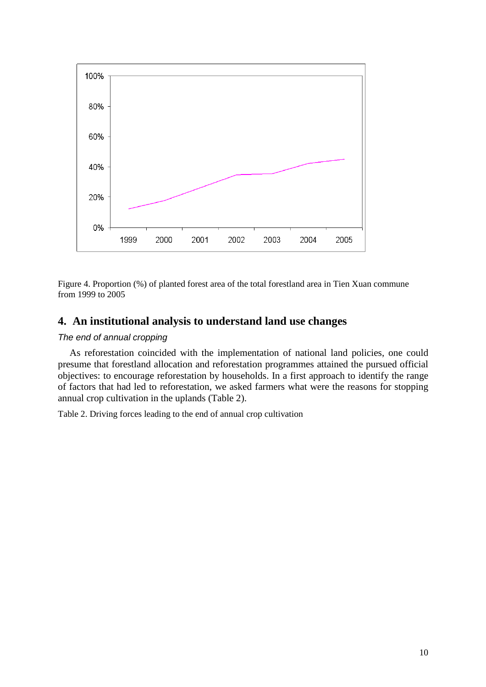

Figure 4. Proportion (%) of planted forest area of the total forestland area in Tien Xuan commune from 1999 to 2005

# **4. An institutional analysis to understand land use changes**

#### The end of annual cropping

As reforestation coincided with the implementation of national land policies, one could presume that forestland allocation and reforestation programmes attained the pursued official objectives: to encourage reforestation by households. In a first approach to identify the range of factors that had led to reforestation, we asked farmers what were the reasons for stopping annual crop cultivation in the uplands (Table 2).

Table 2. Driving forces leading to the end of annual crop cultivation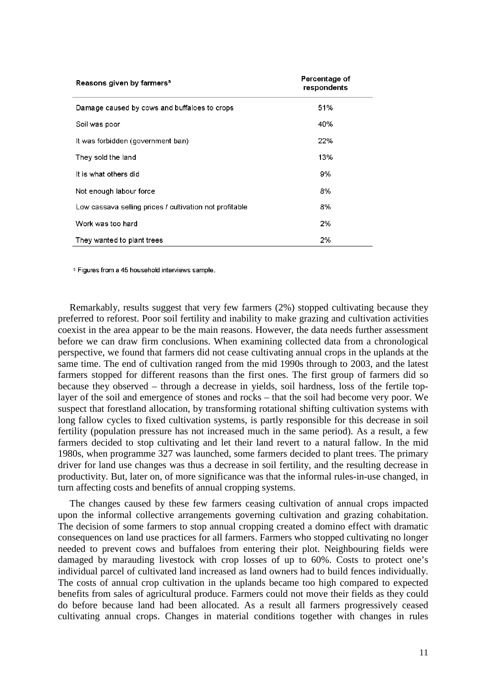| Reasons given by farmers <sup>a</sup>                   | Percentage of<br>respondents |
|---------------------------------------------------------|------------------------------|
| Damage caused by cows and buffaloes to crops            | 51%                          |
| Soil was poor                                           | 40%                          |
| It was forbidden (government ban)                       | 22%                          |
| They sold the land                                      | 13%                          |
| It is what others did                                   | 9%                           |
| Not enough labour force                                 | 8%                           |
| Low cassava selling prices / cultivation not profitable | 8%                           |
| Work was too hard                                       | 2%                           |
| They wanted to plant trees                              | 2%                           |

<sup>a</sup> Figures from a 45 household interviews sample.

Remarkably, results suggest that very few farmers (2%) stopped cultivating because they preferred to reforest. Poor soil fertility and inability to make grazing and cultivation activities coexist in the area appear to be the main reasons. However, the data needs further assessment before we can draw firm conclusions. When examining collected data from a chronological perspective, we found that farmers did not cease cultivating annual crops in the uplands at the same time. The end of cultivation ranged from the mid 1990s through to 2003, and the latest farmers stopped for different reasons than the first ones. The first group of farmers did so because they observed – through a decrease in yields, soil hardness, loss of the fertile toplayer of the soil and emergence of stones and rocks – that the soil had become very poor. We suspect that forestland allocation, by transforming rotational shifting cultivation systems with long fallow cycles to fixed cultivation systems, is partly responsible for this decrease in soil fertility (population pressure has not increased much in the same period). As a result, a few farmers decided to stop cultivating and let their land revert to a natural fallow. In the mid 1980s, when programme 327 was launched, some farmers decided to plant trees. The primary driver for land use changes was thus a decrease in soil fertility, and the resulting decrease in productivity. But, later on, of more significance was that the informal rules-in-use changed, in turn affecting costs and benefits of annual cropping systems.

The changes caused by these few farmers ceasing cultivation of annual crops impacted upon the informal collective arrangements governing cultivation and grazing cohabitation. The decision of some farmers to stop annual cropping created a domino effect with dramatic consequences on land use practices for all farmers. Farmers who stopped cultivating no longer needed to prevent cows and buffaloes from entering their plot. Neighbouring fields were damaged by marauding livestock with crop losses of up to 60%. Costs to protect one's individual parcel of cultivated land increased as land owners had to build fences individually. The costs of annual crop cultivation in the uplands became too high compared to expected benefits from sales of agricultural produce. Farmers could not move their fields as they could do before because land had been allocated. As a result all farmers progressively ceased cultivating annual crops. Changes in material conditions together with changes in rules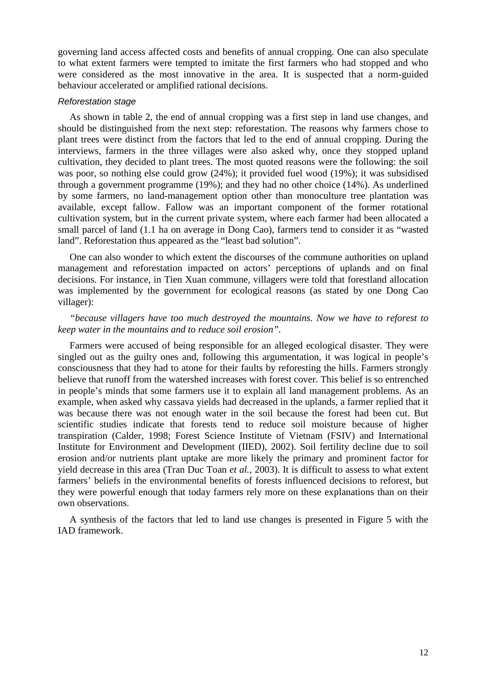governing land access affected costs and benefits of annual cropping. One can also speculate to what extent farmers were tempted to imitate the first farmers who had stopped and who were considered as the most innovative in the area. It is suspected that a norm-guided behaviour accelerated or amplified rational decisions.

#### Reforestation stage

As shown in table 2, the end of annual cropping was a first step in land use changes, and should be distinguished from the next step: reforestation. The reasons why farmers chose to plant trees were distinct from the factors that led to the end of annual cropping. During the interviews, farmers in the three villages were also asked why, once they stopped upland cultivation, they decided to plant trees. The most quoted reasons were the following: the soil was poor, so nothing else could grow (24%); it provided fuel wood (19%); it was subsidised through a government programme (19%); and they had no other choice (14%). As underlined by some farmers, no land-management option other than monoculture tree plantation was available, except fallow. Fallow was an important component of the former rotational cultivation system, but in the current private system, where each farmer had been allocated a small parcel of land (1.1 ha on average in Dong Cao), farmers tend to consider it as "wasted land". Reforestation thus appeared as the "least bad solution".

One can also wonder to which extent the discourses of the commune authorities on upland management and reforestation impacted on actors' perceptions of uplands and on final decisions. For instance, in Tien Xuan commune, villagers were told that forestland allocation was implemented by the government for ecological reasons (as stated by one Dong Cao villager):

#### *"because villagers have too much destroyed the mountains. Now we have to reforest to keep water in the mountains and to reduce soil erosion".*

Farmers were accused of being responsible for an alleged ecological disaster. They were singled out as the guilty ones and, following this argumentation, it was logical in people's consciousness that they had to atone for their faults by reforesting the hills. Farmers strongly believe that runoff from the watershed increases with forest cover. This belief is so entrenched in people's minds that some farmers use it to explain all land management problems. As an example, when asked why cassava yields had decreased in the uplands, a farmer replied that it was because there was not enough water in the soil because the forest had been cut. But scientific studies indicate that forests tend to reduce soil moisture because of higher transpiration (Calder, 1998; Forest Science Institute of Vietnam (FSIV) and International Institute for Environment and Development (IIED), 2002). Soil fertility decline due to soil erosion and/or nutrients plant uptake are more likely the primary and prominent factor for yield decrease in this area (Tran Duc Toan *et al.*, 2003). It is difficult to assess to what extent farmers' beliefs in the environmental benefits of forests influenced decisions to reforest, but they were powerful enough that today farmers rely more on these explanations than on their own observations.

A synthesis of the factors that led to land use changes is presented in Figure 5 with the IAD framework.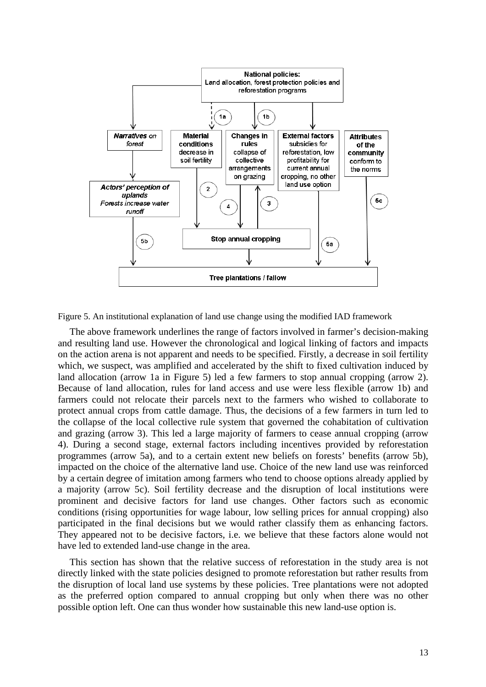

Figure 5. An institutional explanation of land use change using the modified IAD framework

The above framework underlines the range of factors involved in farmer's decision-making and resulting land use. However the chronological and logical linking of factors and impacts on the action arena is not apparent and needs to be specified. Firstly, a decrease in soil fertility which, we suspect, was amplified and accelerated by the shift to fixed cultivation induced by land allocation (arrow 1a in Figure 5) led a few farmers to stop annual cropping (arrow 2). Because of land allocation, rules for land access and use were less flexible (arrow 1b) and farmers could not relocate their parcels next to the farmers who wished to collaborate to protect annual crops from cattle damage. Thus, the decisions of a few farmers in turn led to the collapse of the local collective rule system that governed the cohabitation of cultivation and grazing (arrow 3). This led a large majority of farmers to cease annual cropping (arrow 4). During a second stage, external factors including incentives provided by reforestation programmes (arrow 5a), and to a certain extent new beliefs on forests' benefits (arrow 5b), impacted on the choice of the alternative land use. Choice of the new land use was reinforced by a certain degree of imitation among farmers who tend to choose options already applied by a majority (arrow 5c). Soil fertility decrease and the disruption of local institutions were prominent and decisive factors for land use changes. Other factors such as economic conditions (rising opportunities for wage labour, low selling prices for annual cropping) also participated in the final decisions but we would rather classify them as enhancing factors. They appeared not to be decisive factors, i.e. we believe that these factors alone would not have led to extended land-use change in the area.

This section has shown that the relative success of reforestation in the study area is not directly linked with the state policies designed to promote reforestation but rather results from the disruption of local land use systems by these policies. Tree plantations were not adopted as the preferred option compared to annual cropping but only when there was no other possible option left. One can thus wonder how sustainable this new land-use option is.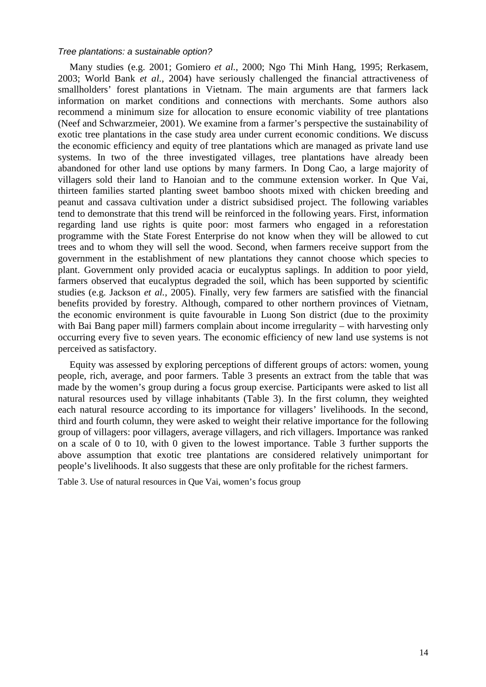#### Tree plantations: a sustainable option?

Many studies (e.g. 2001; Gomiero *et al.*, 2000; Ngo Thi Minh Hang, 1995; Rerkasem, 2003; World Bank *et al.*, 2004) have seriously challenged the financial attractiveness of smallholders' forest plantations in Vietnam. The main arguments are that farmers lack information on market conditions and connections with merchants. Some authors also recommend a minimum size for allocation to ensure economic viability of tree plantations (Neef and Schwarzmeier, 2001). We examine from a farmer's perspective the sustainability of exotic tree plantations in the case study area under current economic conditions. We discuss the economic efficiency and equity of tree plantations which are managed as private land use systems. In two of the three investigated villages, tree plantations have already been abandoned for other land use options by many farmers. In Dong Cao, a large majority of villagers sold their land to Hanoian and to the commune extension worker. In Que Vai, thirteen families started planting sweet bamboo shoots mixed with chicken breeding and peanut and cassava cultivation under a district subsidised project. The following variables tend to demonstrate that this trend will be reinforced in the following years. First, information regarding land use rights is quite poor: most farmers who engaged in a reforestation programme with the State Forest Enterprise do not know when they will be allowed to cut trees and to whom they will sell the wood. Second, when farmers receive support from the government in the establishment of new plantations they cannot choose which species to plant. Government only provided acacia or eucalyptus saplings. In addition to poor yield, farmers observed that eucalyptus degraded the soil, which has been supported by scientific studies (e.g. Jackson *et al.*, 2005). Finally, very few farmers are satisfied with the financial benefits provided by forestry. Although, compared to other northern provinces of Vietnam, the economic environment is quite favourable in Luong Son district (due to the proximity with Bai Bang paper mill) farmers complain about income irregularity – with harvesting only occurring every five to seven years. The economic efficiency of new land use systems is not perceived as satisfactory.

Equity was assessed by exploring perceptions of different groups of actors: women, young people, rich, average, and poor farmers. Table 3 presents an extract from the table that was made by the women's group during a focus group exercise. Participants were asked to list all natural resources used by village inhabitants (Table 3). In the first column, they weighted each natural resource according to its importance for villagers' livelihoods. In the second, third and fourth column, they were asked to weight their relative importance for the following group of villagers: poor villagers, average villagers, and rich villagers. Importance was ranked on a scale of 0 to 10, with 0 given to the lowest importance. Table 3 further supports the above assumption that exotic tree plantations are considered relatively unimportant for people's livelihoods. It also suggests that these are only profitable for the richest farmers.

Table 3. Use of natural resources in Que Vai, women's focus group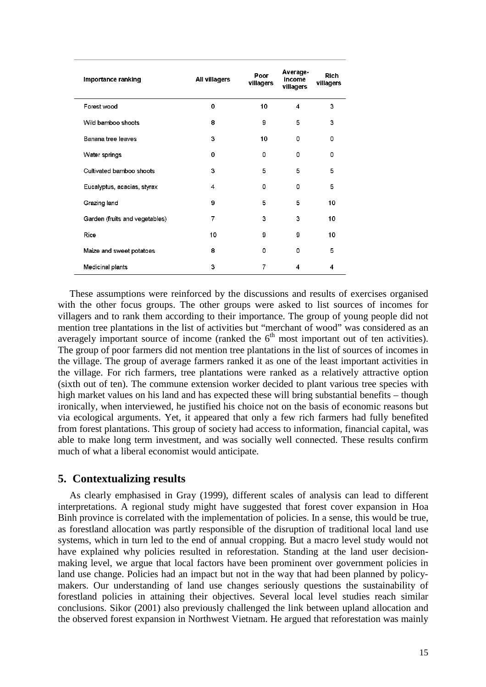| Importance ranking             | All villagers | Poor<br>villagers | Average-<br>income<br>villagers | <b>Rich</b><br>villagers |
|--------------------------------|---------------|-------------------|---------------------------------|--------------------------|
| Forest wood                    | 0             | 10                | 4                               | 3                        |
| Wild bamboo shoots             | 8             | 9                 | 5                               | 3                        |
| Banana tree leaves             | 3             | 10                | 0                               | 0                        |
| Water springs                  | $\Omega$      | 0                 | 0                               | 0                        |
| Cultivated bamboo shoots       | 3             | 5                 | 5                               | 5                        |
| Eucalyptus, acacias, styrax    | 4             | 0                 | 0                               | 5                        |
| Grazing land                   | 9             | 5                 | 5                               | 10                       |
| Garden (fruits and vegetables) | 7             | 3                 | 3                               | 10                       |
| Rice                           | 10            | 9                 | 9                               | 10                       |
| Maize and sweet potatoes       | 8             | $\Omega$          | 0                               | 5                        |
| Medicinal plants               | 3             | 7                 | 4                               | 4                        |

These assumptions were reinforced by the discussions and results of exercises organised with the other focus groups. The other groups were asked to list sources of incomes for villagers and to rank them according to their importance. The group of young people did not mention tree plantations in the list of activities but "merchant of wood" was considered as an averagely important source of income (ranked the  $6<sup>th</sup>$  most important out of ten activities). The group of poor farmers did not mention tree plantations in the list of sources of incomes in the village. The group of average farmers ranked it as one of the least important activities in the village. For rich farmers, tree plantations were ranked as a relatively attractive option (sixth out of ten). The commune extension worker decided to plant various tree species with high market values on his land and has expected these will bring substantial benefits – though ironically, when interviewed, he justified his choice not on the basis of economic reasons but via ecological arguments. Yet, it appeared that only a few rich farmers had fully benefited from forest plantations. This group of society had access to information, financial capital, was able to make long term investment, and was socially well connected. These results confirm much of what a liberal economist would anticipate.

# **5. Contextualizing results**

As clearly emphasised in Gray (1999), different scales of analysis can lead to different interpretations. A regional study might have suggested that forest cover expansion in Hoa Binh province is correlated with the implementation of policies. In a sense, this would be true, as forestland allocation was partly responsible of the disruption of traditional local land use systems, which in turn led to the end of annual cropping. But a macro level study would not have explained why policies resulted in reforestation. Standing at the land user decisionmaking level, we argue that local factors have been prominent over government policies in land use change. Policies had an impact but not in the way that had been planned by policymakers. Our understanding of land use changes seriously questions the sustainability of forestland policies in attaining their objectives. Several local level studies reach similar conclusions. Sikor (2001) also previously challenged the link between upland allocation and the observed forest expansion in Northwest Vietnam. He argued that reforestation was mainly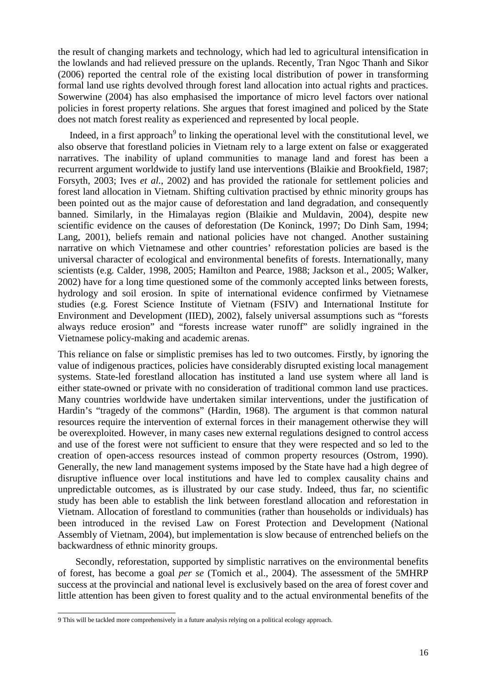the result of changing markets and technology, which had led to agricultural intensification in the lowlands and had relieved pressure on the uplands. Recently, Tran Ngoc Thanh and Sikor (2006) reported the central role of the existing local distribution of power in transforming formal land use rights devolved through forest land allocation into actual rights and practices. Sowerwine (2004) has also emphasised the importance of micro level factors over national policies in forest property relations. She argues that forest imagined and policed by the State does not match forest reality as experienced and represented by local people.

Indeed, in a first approach<sup>9</sup> to linking the operational level with the constitutional level, we also observe that forestland policies in Vietnam rely to a large extent on false or exaggerated narratives. The inability of upland communities to manage land and forest has been a recurrent argument worldwide to justify land use interventions (Blaikie and Brookfield, 1987; Forsyth, 2003; Ives *et al.*, 2002) and has provided the rationale for settlement policies and forest land allocation in Vietnam. Shifting cultivation practised by ethnic minority groups has been pointed out as the major cause of deforestation and land degradation, and consequently banned. Similarly, in the Himalayas region (Blaikie and Muldavin, 2004), despite new scientific evidence on the causes of deforestation (De Koninck, 1997; Do Dinh Sam, 1994; Lang, 2001), beliefs remain and national policies have not changed. Another sustaining narrative on which Vietnamese and other countries' reforestation policies are based is the universal character of ecological and environmental benefits of forests. Internationally, many scientists (e.g. Calder, 1998, 2005; Hamilton and Pearce, 1988; Jackson et al., 2005; Walker, 2002) have for a long time questioned some of the commonly accepted links between forests, hydrology and soil erosion. In spite of international evidence confirmed by Vietnamese studies (e.g. Forest Science Institute of Vietnam (FSIV) and International Institute for Environment and Development (IIED), 2002), falsely universal assumptions such as "forests always reduce erosion" and "forests increase water runoff" are solidly ingrained in the Vietnamese policy-making and academic arenas.

This reliance on false or simplistic premises has led to two outcomes. Firstly, by ignoring the value of indigenous practices, policies have considerably disrupted existing local management systems. State-led forestland allocation has instituted a land use system where all land is either state-owned or private with no consideration of traditional common land use practices. Many countries worldwide have undertaken similar interventions, under the justification of Hardin's "tragedy of the commons" (Hardin, 1968). The argument is that common natural resources require the intervention of external forces in their management otherwise they will be overexploited. However, in many cases new external regulations designed to control access and use of the forest were not sufficient to ensure that they were respected and so led to the creation of open-access resources instead of common property resources (Ostrom, 1990). Generally, the new land management systems imposed by the State have had a high degree of disruptive influence over local institutions and have led to complex causality chains and unpredictable outcomes, as is illustrated by our case study. Indeed, thus far, no scientific study has been able to establish the link between forestland allocation and reforestation in Vietnam. Allocation of forestland to communities (rather than households or individuals) has been introduced in the revised Law on Forest Protection and Development (National Assembly of Vietnam, 2004), but implementation is slow because of entrenched beliefs on the backwardness of ethnic minority groups.

Secondly, reforestation, supported by simplistic narratives on the environmental benefits of forest, has become a goal *per se* (Tomich et al., 2004). The assessment of the 5MHRP success at the provincial and national level is exclusively based on the area of forest cover and little attention has been given to forest quality and to the actual environmental benefits of the

 9 This will be tackled more comprehensively in a future analysis relying on a political ecology approach.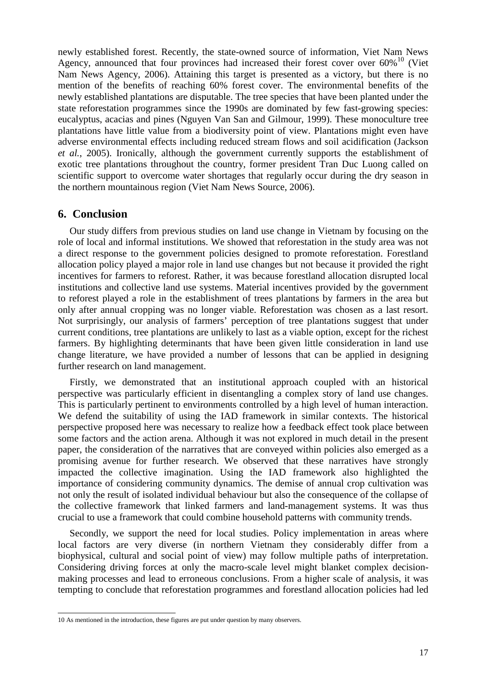newly established forest. Recently, the state-owned source of information, Viet Nam News Agency, announced that four provinces had increased their forest cover over  $60\%$ <sup>10</sup> (Viet Nam News Agency, 2006). Attaining this target is presented as a victory, but there is no mention of the benefits of reaching 60% forest cover. The environmental benefits of the newly established plantations are disputable. The tree species that have been planted under the state reforestation programmes since the 1990s are dominated by few fast-growing species: eucalyptus, acacias and pines (Nguyen Van San and Gilmour, 1999). These monoculture tree plantations have little value from a biodiversity point of view. Plantations might even have adverse environmental effects including reduced stream flows and soil acidification (Jackson *et al.*, 2005). Ironically, although the government currently supports the establishment of exotic tree plantations throughout the country, former president Tran Duc Luong called on scientific support to overcome water shortages that regularly occur during the dry season in the northern mountainous region (Viet Nam News Source, 2006).

### **6. Conclusion**

Our study differs from previous studies on land use change in Vietnam by focusing on the role of local and informal institutions. We showed that reforestation in the study area was not a direct response to the government policies designed to promote reforestation. Forestland allocation policy played a major role in land use changes but not because it provided the right incentives for farmers to reforest. Rather, it was because forestland allocation disrupted local institutions and collective land use systems. Material incentives provided by the government to reforest played a role in the establishment of trees plantations by farmers in the area but only after annual cropping was no longer viable. Reforestation was chosen as a last resort. Not surprisingly, our analysis of farmers' perception of tree plantations suggest that under current conditions, tree plantations are unlikely to last as a viable option, except for the richest farmers. By highlighting determinants that have been given little consideration in land use change literature, we have provided a number of lessons that can be applied in designing further research on land management.

Firstly, we demonstrated that an institutional approach coupled with an historical perspective was particularly efficient in disentangling a complex story of land use changes. This is particularly pertinent to environments controlled by a high level of human interaction. We defend the suitability of using the IAD framework in similar contexts. The historical perspective proposed here was necessary to realize how a feedback effect took place between some factors and the action arena. Although it was not explored in much detail in the present paper, the consideration of the narratives that are conveyed within policies also emerged as a promising avenue for further research. We observed that these narratives have strongly impacted the collective imagination. Using the IAD framework also highlighted the importance of considering community dynamics. The demise of annual crop cultivation was not only the result of isolated individual behaviour but also the consequence of the collapse of the collective framework that linked farmers and land-management systems. It was thus crucial to use a framework that could combine household patterns with community trends.

Secondly, we support the need for local studies. Policy implementation in areas where local factors are very diverse (in northern Vietnam they considerably differ from a biophysical, cultural and social point of view) may follow multiple paths of interpretation. Considering driving forces at only the macro-scale level might blanket complex decisionmaking processes and lead to erroneous conclusions. From a higher scale of analysis, it was tempting to conclude that reforestation programmes and forestland allocation policies had led

 10 As mentioned in the introduction, these figures are put under question by many observers.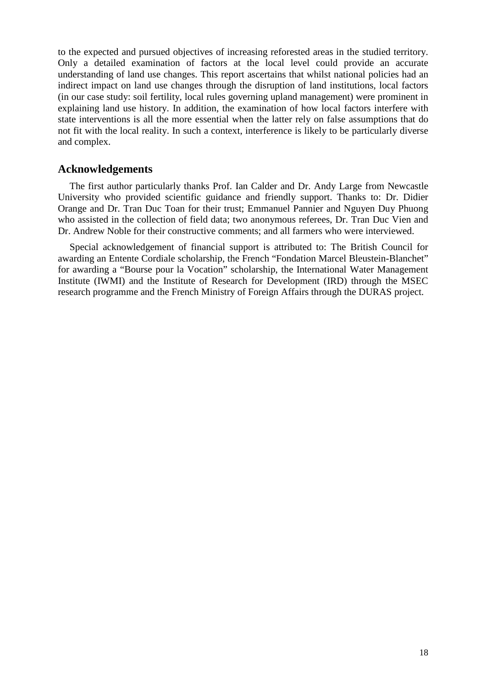to the expected and pursued objectives of increasing reforested areas in the studied territory. Only a detailed examination of factors at the local level could provide an accurate understanding of land use changes. This report ascertains that whilst national policies had an indirect impact on land use changes through the disruption of land institutions, local factors (in our case study: soil fertility, local rules governing upland management) were prominent in explaining land use history. In addition, the examination of how local factors interfere with state interventions is all the more essential when the latter rely on false assumptions that do not fit with the local reality. In such a context, interference is likely to be particularly diverse and complex.

## **Acknowledgements**

The first author particularly thanks Prof. Ian Calder and Dr. Andy Large from Newcastle University who provided scientific guidance and friendly support. Thanks to: Dr. Didier Orange and Dr. Tran Duc Toan for their trust; Emmanuel Pannier and Nguyen Duy Phuong who assisted in the collection of field data; two anonymous referees, Dr. Tran Duc Vien and Dr. Andrew Noble for their constructive comments; and all farmers who were interviewed.

Special acknowledgement of financial support is attributed to: The British Council for awarding an Entente Cordiale scholarship, the French "Fondation Marcel Bleustein-Blanchet" for awarding a "Bourse pour la Vocation" scholarship, the International Water Management Institute (IWMI) and the Institute of Research for Development (IRD) through the MSEC research programme and the French Ministry of Foreign Affairs through the DURAS project.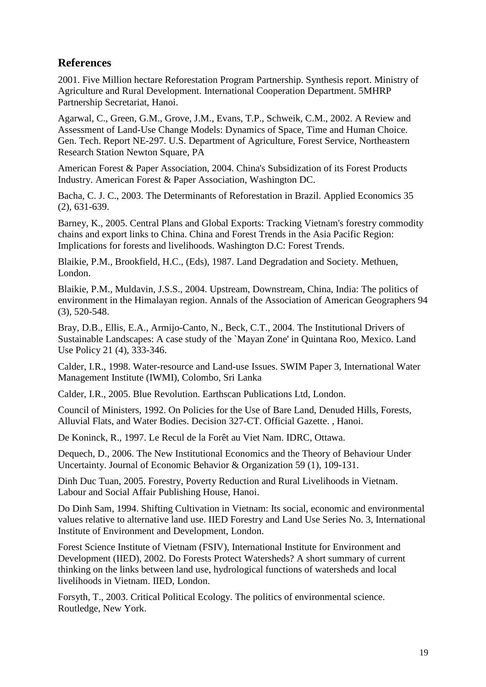# **References**

2001. Five Million hectare Reforestation Program Partnership. Synthesis report. Ministry of Agriculture and Rural Development. International Cooperation Department. 5MHRP Partnership Secretariat, Hanoi.

Agarwal, C., Green, G.M., Grove, J.M., Evans, T.P., Schweik, C.M., 2002. A Review and Assessment of Land-Use Change Models: Dynamics of Space, Time and Human Choice. Gen. Tech. Report NE-297. U.S. Department of Agriculture, Forest Service, Northeastern Research Station Newton Square, PA

American Forest & Paper Association, 2004. China's Subsidization of its Forest Products Industry. American Forest & Paper Association, Washington DC.

Bacha, C. J. C., 2003. The Determinants of Reforestation in Brazil. Applied Economics 35 (2), 631-639.

Barney, K., 2005. Central Plans and Global Exports: Tracking Vietnam's forestry commodity chains and export links to China. China and Forest Trends in the Asia Pacific Region: Implications for forests and livelihoods. Washington D.C: Forest Trends.

Blaikie, P.M., Brookfield, H.C., (Eds), 1987. Land Degradation and Society. Methuen, London.

Blaikie, P.M., Muldavin, J.S.S., 2004. Upstream, Downstream, China, India: The politics of environment in the Himalayan region. Annals of the Association of American Geographers 94 (3), 520-548.

Bray, D.B., Ellis, E.A., Armijo-Canto, N., Beck, C.T., 2004. The Institutional Drivers of Sustainable Landscapes: A case study of the `Mayan Zone' in Quintana Roo, Mexico. Land Use Policy 21 (4), 333-346.

Calder, I.R., 1998. Water-resource and Land-use Issues. SWIM Paper 3, International Water Management Institute (IWMI), Colombo, Sri Lanka

Calder, I.R., 2005. Blue Revolution. Earthscan Publications Ltd, London.

Council of Ministers, 1992. On Policies for the Use of Bare Land, Denuded Hills, Forests, Alluvial Flats, and Water Bodies. Decision 327-CT. Official Gazette. , Hanoi.

De Koninck, R., 1997. Le Recul de la Forêt au Viet Nam. IDRC, Ottawa.

Dequech, D., 2006. The New Institutional Economics and the Theory of Behaviour Under Uncertainty. Journal of Economic Behavior & Organization 59 (1), 109-131.

Dinh Duc Tuan, 2005. Forestry, Poverty Reduction and Rural Livelihoods in Vietnam. Labour and Social Affair Publishing House, Hanoi.

Do Dinh Sam, 1994. Shifting Cultivation in Vietnam: Its social, economic and environmental values relative to alternative land use. IIED Forestry and Land Use Series No. 3, International Institute of Environment and Development, London.

Forest Science Institute of Vietnam (FSIV), International Institute for Environment and Development (IIED), 2002. Do Forests Protect Watersheds? A short summary of current thinking on the links between land use, hydrological functions of watersheds and local livelihoods in Vietnam. IIED, London.

Forsyth, T., 2003. Critical Political Ecology. The politics of environmental science. Routledge, New York.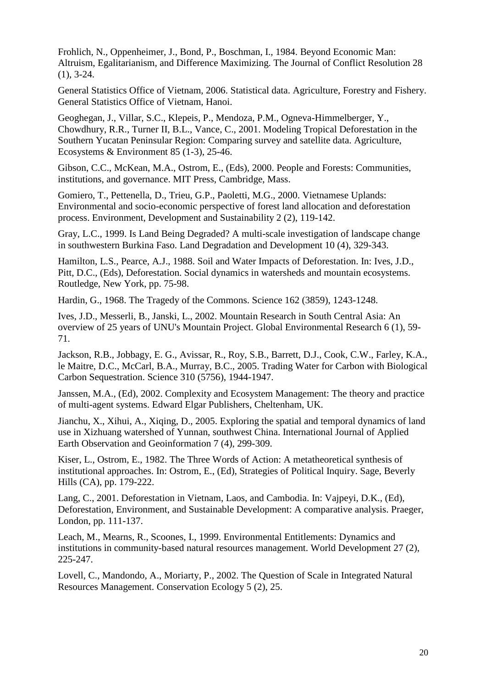Frohlich, N., Oppenheimer, J., Bond, P., Boschman, I., 1984. Beyond Economic Man: Altruism, Egalitarianism, and Difference Maximizing. The Journal of Conflict Resolution 28  $(1), 3-24.$ 

General Statistics Office of Vietnam, 2006. Statistical data. Agriculture, Forestry and Fishery. General Statistics Office of Vietnam, Hanoi.

Geoghegan, J., Villar, S.C., Klepeis, P., Mendoza, P.M., Ogneva-Himmelberger, Y., Chowdhury, R.R., Turner II, B.L., Vance, C., 2001. Modeling Tropical Deforestation in the Southern Yucatan Peninsular Region: Comparing survey and satellite data. Agriculture, Ecosystems & Environment 85 (1-3), 25-46.

Gibson, C.C., McKean, M.A., Ostrom, E., (Eds), 2000. People and Forests: Communities, institutions, and governance. MIT Press, Cambridge, Mass.

Gomiero, T., Pettenella, D., Trieu, G.P., Paoletti, M.G., 2000. Vietnamese Uplands: Environmental and socio-economic perspective of forest land allocation and deforestation process. Environment, Development and Sustainability 2 (2), 119-142.

Gray, L.C., 1999. Is Land Being Degraded? A multi-scale investigation of landscape change in southwestern Burkina Faso. Land Degradation and Development 10 (4), 329-343.

Hamilton, L.S., Pearce, A.J., 1988. Soil and Water Impacts of Deforestation. In: Ives, J.D., Pitt, D.C., (Eds), Deforestation. Social dynamics in watersheds and mountain ecosystems. Routledge, New York, pp. 75-98.

Hardin, G., 1968. The Tragedy of the Commons. Science 162 (3859), 1243-1248.

Ives, J.D., Messerli, B., Janski, L., 2002. Mountain Research in South Central Asia: An overview of 25 years of UNU's Mountain Project. Global Environmental Research 6 (1), 59- 71.

Jackson, R.B., Jobbagy, E. G., Avissar, R., Roy, S.B., Barrett, D.J., Cook, C.W., Farley, K.A., le Maitre, D.C., McCarl, B.A., Murray, B.C., 2005. Trading Water for Carbon with Biological Carbon Sequestration. Science 310 (5756), 1944-1947.

Janssen, M.A., (Ed), 2002. Complexity and Ecosystem Management: The theory and practice of multi-agent systems. Edward Elgar Publishers, Cheltenham, UK.

Jianchu, X., Xihui, A., Xiqing, D., 2005. Exploring the spatial and temporal dynamics of land use in Xizhuang watershed of Yunnan, southwest China. International Journal of Applied Earth Observation and Geoinformation 7 (4), 299-309.

Kiser, L., Ostrom, E., 1982. The Three Words of Action: A metatheoretical synthesis of institutional approaches. In: Ostrom, E., (Ed), Strategies of Political Inquiry. Sage, Beverly Hills (CA), pp. 179-222.

Lang, C., 2001. Deforestation in Vietnam, Laos, and Cambodia. In: Vajpeyi, D.K., (Ed), Deforestation, Environment, and Sustainable Development: A comparative analysis. Praeger, London, pp. 111-137.

Leach, M., Mearns, R., Scoones, I., 1999. Environmental Entitlements: Dynamics and institutions in community-based natural resources management. World Development 27 (2), 225-247.

Lovell, C., Mandondo, A., Moriarty, P., 2002. The Question of Scale in Integrated Natural Resources Management. Conservation Ecology 5 (2), 25.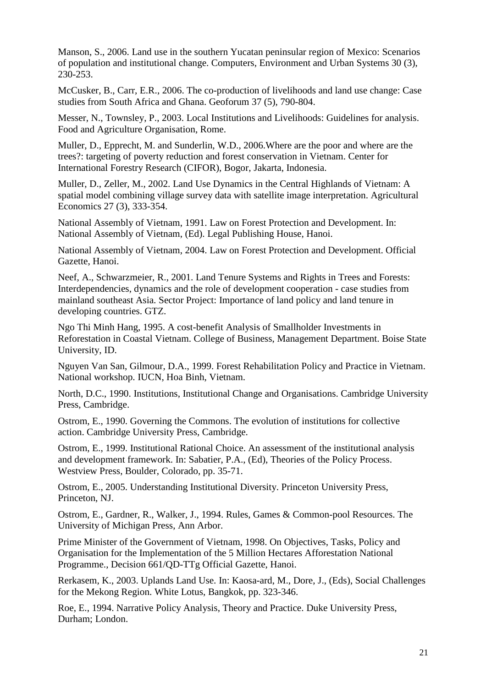Manson, S., 2006. Land use in the southern Yucatan peninsular region of Mexico: Scenarios of population and institutional change. Computers, Environment and Urban Systems 30 (3), 230-253.

McCusker, B., Carr, E.R., 2006. The co-production of livelihoods and land use change: Case studies from South Africa and Ghana. Geoforum 37 (5), 790-804.

Messer, N., Townsley, P., 2003. Local Institutions and Livelihoods: Guidelines for analysis. Food and Agriculture Organisation, Rome.

Muller, D., Epprecht, M. and Sunderlin, W.D., 2006.Where are the poor and where are the trees?: targeting of poverty reduction and forest conservation in Vietnam. Center for International Forestry Research (CIFOR), Bogor, Jakarta, Indonesia.

Muller, D., Zeller, M., 2002. Land Use Dynamics in the Central Highlands of Vietnam: A spatial model combining village survey data with satellite image interpretation. Agricultural Economics 27 (3), 333-354.

National Assembly of Vietnam, 1991. Law on Forest Protection and Development. In: National Assembly of Vietnam, (Ed). Legal Publishing House, Hanoi.

National Assembly of Vietnam, 2004. Law on Forest Protection and Development. Official Gazette, Hanoi.

Neef, A., Schwarzmeier, R., 2001. Land Tenure Systems and Rights in Trees and Forests: Interdependencies, dynamics and the role of development cooperation - case studies from mainland southeast Asia. Sector Project: Importance of land policy and land tenure in developing countries. GTZ.

Ngo Thi Minh Hang, 1995. A cost-benefit Analysis of Smallholder Investments in Reforestation in Coastal Vietnam. College of Business, Management Department. Boise State University, ID.

Nguyen Van San, Gilmour, D.A., 1999. Forest Rehabilitation Policy and Practice in Vietnam. National workshop. IUCN, Hoa Binh, Vietnam.

North, D.C., 1990. Institutions, Institutional Change and Organisations. Cambridge University Press, Cambridge.

Ostrom, E., 1990. Governing the Commons. The evolution of institutions for collective action. Cambridge University Press, Cambridge.

Ostrom, E., 1999. Institutional Rational Choice. An assessment of the institutional analysis and development framework. In: Sabatier, P.A., (Ed), Theories of the Policy Process. Westview Press, Boulder, Colorado, pp. 35-71.

Ostrom, E., 2005. Understanding Institutional Diversity. Princeton University Press, Princeton, NJ.

Ostrom, E., Gardner, R., Walker, J., 1994. Rules, Games & Common-pool Resources. The University of Michigan Press, Ann Arbor.

Prime Minister of the Government of Vietnam, 1998. On Objectives, Tasks, Policy and Organisation for the Implementation of the 5 Million Hectares Afforestation National Programme., Decision 661/QD-TTg Official Gazette, Hanoi.

Rerkasem, K., 2003. Uplands Land Use. In: Kaosa-ard, M., Dore, J., (Eds), Social Challenges for the Mekong Region. White Lotus, Bangkok, pp. 323-346.

Roe, E., 1994. Narrative Policy Analysis, Theory and Practice. Duke University Press, Durham; London.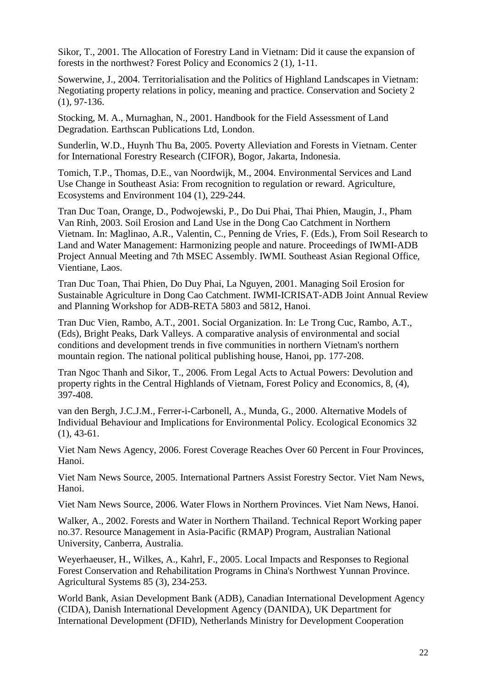Sikor, T., 2001. The Allocation of Forestry Land in Vietnam: Did it cause the expansion of forests in the northwest? Forest Policy and Economics 2 (1), 1-11.

Sowerwine, J., 2004. Territorialisation and the Politics of Highland Landscapes in Vietnam: Negotiating property relations in policy, meaning and practice. Conservation and Society 2 (1), 97-136.

Stocking, M. A., Murnaghan, N., 2001. Handbook for the Field Assessment of Land Degradation. Earthscan Publications Ltd, London.

Sunderlin, W.D., Huynh Thu Ba, 2005. Poverty Alleviation and Forests in Vietnam. Center for International Forestry Research (CIFOR), Bogor, Jakarta, Indonesia.

Tomich, T.P., Thomas, D.E., van Noordwijk, M., 2004. Environmental Services and Land Use Change in Southeast Asia: From recognition to regulation or reward. Agriculture, Ecosystems and Environment 104 (1), 229-244.

Tran Duc Toan, Orange, D., Podwojewski, P., Do Dui Phai, Thai Phien, Maugin, J., Pham Van Rinh, 2003. Soil Erosion and Land Use in the Dong Cao Catchment in Northern Vietnam. In: Maglinao, A.R., Valentin, C., Penning de Vries, F. (Eds.), From Soil Research to Land and Water Management: Harmonizing people and nature. Proceedings of IWMI-ADB Project Annual Meeting and 7th MSEC Assembly. IWMI. Southeast Asian Regional Office, Vientiane, Laos.

Tran Duc Toan, Thai Phien, Do Duy Phai, La Nguyen, 2001. Managing Soil Erosion for Sustainable Agriculture in Dong Cao Catchment. IWMI-ICRISAT-ADB Joint Annual Review and Planning Workshop for ADB-RETA 5803 and 5812, Hanoi.

Tran Duc Vien, Rambo, A.T., 2001. Social Organization. In: Le Trong Cuc, Rambo, A.T., (Eds), Bright Peaks, Dark Valleys. A comparative analysis of environmental and social conditions and development trends in five communities in northern Vietnam's northern mountain region. The national political publishing house, Hanoi, pp. 177-208.

Tran Ngoc Thanh and Sikor, T., 2006. From Legal Acts to Actual Powers: Devolution and property rights in the Central Highlands of Vietnam, Forest Policy and Economics*,* 8, (4), 397-408.

van den Bergh, J.C.J.M., Ferrer-i-Carbonell, A., Munda, G., 2000. Alternative Models of Individual Behaviour and Implications for Environmental Policy. Ecological Economics 32 (1), 43-61.

Viet Nam News Agency, 2006. Forest Coverage Reaches Over 60 Percent in Four Provinces, Hanoi.

Viet Nam News Source, 2005. International Partners Assist Forestry Sector. Viet Nam News, Hanoi.

Viet Nam News Source, 2006. Water Flows in Northern Provinces. Viet Nam News, Hanoi.

Walker, A., 2002. Forests and Water in Northern Thailand. Technical Report Working paper no.37. Resource Management in Asia-Pacific (RMAP) Program, Australian National University, Canberra, Australia.

Weyerhaeuser, H., Wilkes, A., Kahrl, F., 2005. Local Impacts and Responses to Regional Forest Conservation and Rehabilitation Programs in China's Northwest Yunnan Province. Agricultural Systems 85 (3), 234-253.

World Bank, Asian Development Bank (ADB), Canadian International Development Agency (CIDA), Danish International Development Agency (DANIDA), UK Department for International Development (DFID), Netherlands Ministry for Development Cooperation